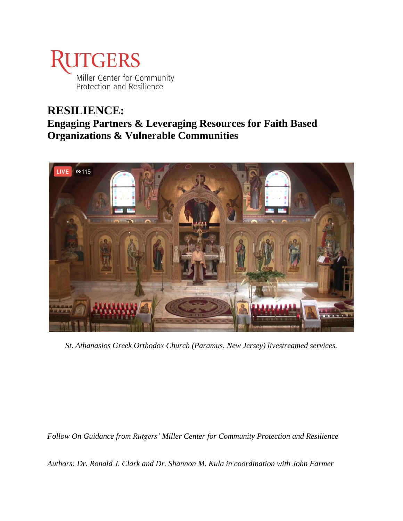

# **RESILIENCE:**

**Engaging Partners & Leveraging Resources for Faith Based Organizations & Vulnerable Communities**



*St. Athanasios Greek Orthodox Church (Paramus, New Jersey) livestreamed services.*

*Follow On Guidance from Rutgers' Miller Center for Community Protection and Resilience*

*Authors: Dr. Ronald J. Clark and Dr. Shannon M. Kula in coordination with John Farmer*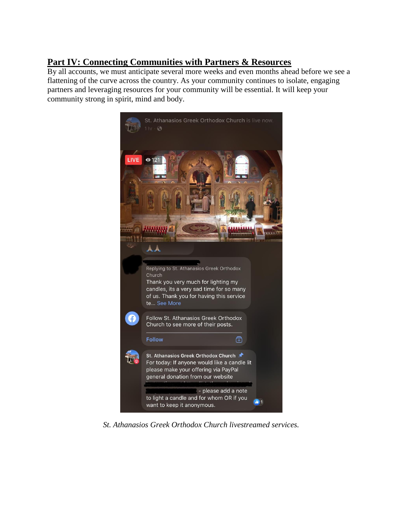## **Part IV: Connecting Communities with Partners & Resources**

By all accounts, we must anticipate several more weeks and even months ahead before we see a flattening of the curve across the country. As your community continues to isolate, engaging partners and leveraging resources for your community will be essential. It will keep your community strong in spirit, mind and body.



*St. Athanasios Greek Orthodox Church livestreamed services.*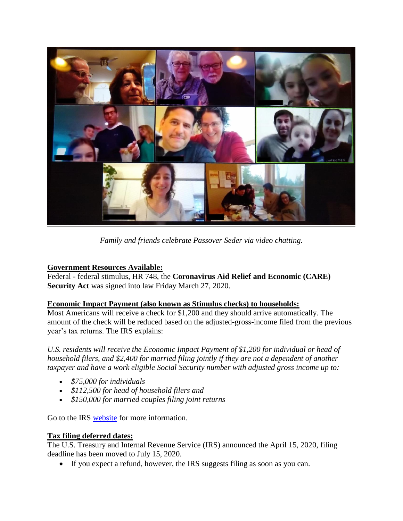

*Family and friends celebrate Passover Seder via video chatting.*

## **Government Resources Available:**

Federal - federal stimulus, HR 748, the **Coronavirus Aid Relief and Economic (CARE) Security Act** was signed into law Friday March 27, 2020.

## **Economic Impact Payment (also known as Stimulus checks) to households:**

Most Americans will receive a check for \$1,200 and they should arrive automatically. The amount of the check will be reduced based on the adjusted-gross-income filed from the previous year's tax returns. The IRS explains:

*U.S. residents will receive the Economic Impact Payment of \$1,200 for individual or head of household filers, and \$2,400 for married filing jointly if they are not a dependent of another taxpayer and have a work eligible Social Security number with adjusted gross income up to:*

- *\$75,000 for individuals*
- *\$112,500 for head of household filers and*
- *\$150,000 for married couples filing joint returns*

Go to the IRS [website](https://www.irs.gov/coronavirus/economic-impact-payment-information-center) for more information.

## **Tax filing deferred dates:**

The U.S. Treasury and Internal Revenue Service (IRS) announced the April 15, 2020, filing deadline has been moved to July 15, 2020.

If you expect a refund, however, the IRS suggests filing as soon as you can.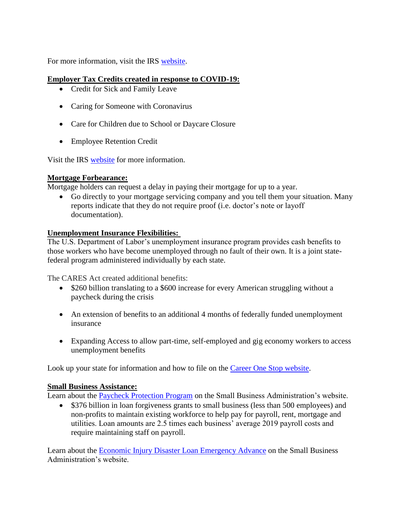For more information, visit the IRS [website.](https://www.irs.gov/newsroom/filing-and-payment-deadlines-questions-and-answers)

## **Employer Tax Credits created in response to COVID-19:**

- Credit for Sick and Family Leave
- Caring for Someone with Coronavirus
- Care for Children due to School or Daycare Closure
- Employee Retention Credit

Visit the IRS [website](https://www.irs.gov/coronavirus/new-employer-tax-credits) for more information.

#### **Mortgage Forbearance:**

Mortgage holders can request a delay in paying their mortgage for up to a year.

 Go directly to your mortgage servicing company and you tell them your situation. Many reports indicate that they do not require proof (i.e. doctor's note or layoff documentation).

#### **Unemployment Insurance Flexibilities:**

The U.S. Department of Labor's unemployment insurance program provides cash benefits to those workers who have become unemployed through no fault of their own. It is a joint statefederal program administered individually by each state.

The CARES Act created additional benefits:

- \$260 billion translating to a \$600 increase for every American struggling without a paycheck during the crisis
- An extension of benefits to an additional 4 months of federally funded unemployment insurance
- Expanding Access to allow part-time, self-employed and gig economy workers to access unemployment benefits

Look up your state for information and how to file on the Career One [Stop website.](https://www.careeronestop.org/LocalHelp/UnemploymentBenefits/find-unemployment-benefits.aspx)

#### **Small Business Assistance:**

Learn about the [Paycheck Protection Program](https://www.sba.gov/funding-programs/loans/coronavirus-relief-options/paycheck-protection-program-ppp) on the Small Business Administration's website.

• \$376 billion in loan forgiveness grants to small business (less than 500 employees) and non-profits to maintain existing workforce to help pay for payroll, rent, mortgage and utilities. Loan amounts are 2.5 times each business' average 2019 payroll costs and require maintaining staff on payroll.

Learn about the [Economic Injury Disaster Loan Emergency Advance](https://www.sba.gov/funding-programs/loans/coronavirus-relief-options/economic-injury-disaster-loan-emergency-advance) on the Small Business Administration's website.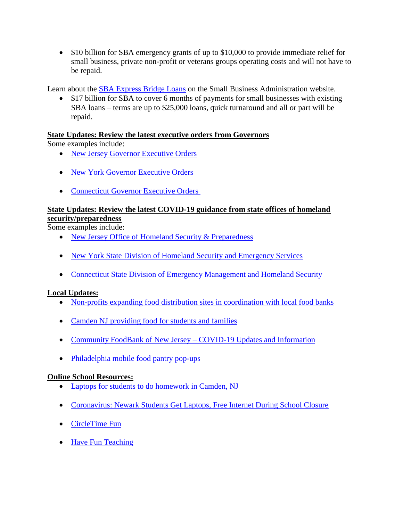\$10 billion for SBA emergency grants of up to \$10,000 to provide immediate relief for small business, private non-profit or veterans groups operating costs and will not have to be repaid.

Learn about the **SBA Express Bridge Loans** on the Small Business Administration website.

• \$17 billion for SBA to cover 6 months of payments for small businesses with existing SBA loans – terms are up to \$25,000 loans, quick turnaround and all or part will be repaid.

#### **State Updates: Review the latest executive orders from Governors**

Some examples include:

- [New Jersey Governor Executive Orders](https://nj.gov/infobank/eo/056murphy/)
- [New York Governor Executive Orders](https://www.governor.ny.gov/executiveorders)
- Connecticut [Governor Executive Orders](https://portal.ct.gov/Office-of-the-Governor/Governors-Actions/Executive-Orders/Governor-Lamonts-Executive-Orders)

## **State Updates: Review the latest COVID-19 guidance from state offices of homeland security/preparedness**

Some examples include:

- [New Jersey Office of Homeland Security & Preparedness](https://www.njhomelandsecurity.gov/covid19)
- [New York State Division of Homeland Security and Emergency Services](http://www.dhses.ny.gov/)
- [Connecticut State Division of Emergency Management and Homeland Security](https://portal.ct.gov/DEMHS/Coronavirus)

#### **Local Updates:**

- [Non-profits expanding food distribution sites in coordination with local food banks](https://foodbanksj.org/coronavirus-preparedness-plan/)
- [Camden NJ providing food for students and families](http://www.camden.k12.nj.us/for_families/coronavirus_information/access_to_meals)
- [Community FoodBank of New Jersey –](https://cfbnj.org/coronavirus) COVID-19 Updates and Information
- [Philadelphia mobile food pantry pop-ups](https://www.phila.gov/2020-03-28-where-to-find-free-nutritious-food-during-covid-19/)

#### **Online School Resources:**

- [Laptops for students to do homework](https://www.tapinto.net/towns/camden/sections/education/articles/camden-school-district-receives-400k-to-purchase-laptops-for-remote-learning) in Camden, NJ
- [Coronavirus: Newark Students Get Laptops, Free Internet During School Closure](https://patch.com/new-jersey/newarknj/coronavirus-newark-students-get-laptops-free-internet-during-school-closure)
- [CircleTime Fun](https://circletimefun.com/)
- [Have Fun Teaching](https://www.havefunteaching.com/resources/relief-packs)